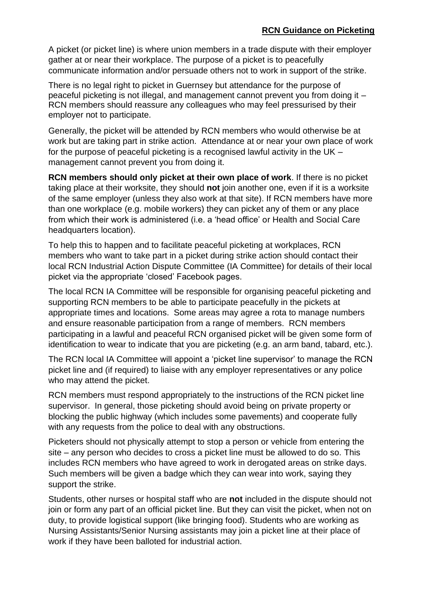A picket (or picket line) is where union members in a trade dispute with their employer gather at or near their workplace. The purpose of a picket is to peacefully communicate information and/or persuade others not to work in support of the strike.

There is no legal right to picket in Guernsey but attendance for the purpose of peaceful picketing is not illegal, and management cannot prevent you from doing it – RCN members should reassure any colleagues who may feel pressurised by their employer not to participate.

Generally, the picket will be attended by RCN members who would otherwise be at work but are taking part in strike action. Attendance at or near your own place of work for the purpose of peaceful picketing is a recognised lawful activity in the UK – management cannot prevent you from doing it.

**RCN members should only picket at their own place of work**. If there is no picket taking place at their worksite, they should **not** join another one, even if it is a worksite of the same employer (unless they also work at that site). If RCN members have more than one workplace (e.g. mobile workers) they can picket any of them or any place from which their work is administered (i.e. a 'head office' or Health and Social Care headquarters location).

To help this to happen and to facilitate peaceful picketing at workplaces, RCN members who want to take part in a picket during strike action should contact their local RCN Industrial Action Dispute Committee (IA Committee) for details of their local picket via the appropriate 'closed' Facebook pages.

The local RCN IA Committee will be responsible for organising peaceful picketing and supporting RCN members to be able to participate peacefully in the pickets at appropriate times and locations. Some areas may agree a rota to manage numbers and ensure reasonable participation from a range of members. RCN members participating in a lawful and peaceful RCN organised picket will be given some form of identification to wear to indicate that you are picketing (e.g. an arm band, tabard, etc.).

The RCN local IA Committee will appoint a 'picket line supervisor' to manage the RCN picket line and (if required) to liaise with any employer representatives or any police who may attend the picket.

RCN members must respond appropriately to the instructions of the RCN picket line supervisor. In general, those picketing should avoid being on private property or blocking the public highway (which includes some pavements) and cooperate fully with any requests from the police to deal with any obstructions.

Picketers should not physically attempt to stop a person or vehicle from entering the site – any person who decides to cross a picket line must be allowed to do so. This includes RCN members who have agreed to work in derogated areas on strike days. Such members will be given a badge which they can wear into work, saying they support the strike.

Students, other nurses or hospital staff who are **not** included in the dispute should not join or form any part of an official picket line. But they can visit the picket, when not on duty, to provide logistical support (like bringing food). Students who are working as Nursing Assistants/Senior Nursing assistants may join a picket line at their place of work if they have been balloted for industrial action.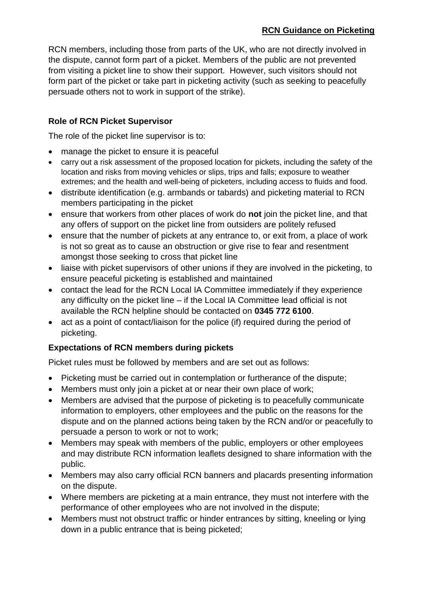RCN members, including those from parts of the UK, who are not directly involved in the dispute, cannot form part of a picket. Members of the public are not prevented from visiting a picket line to show their support. However, such visitors should not form part of the picket or take part in picketing activity (such as seeking to peacefully persuade others not to work in support of the strike).

## **Role of RCN Picket Supervisor**

The role of the picket line supervisor is to:

- manage the picket to ensure it is peaceful
- carry out a risk assessment of the proposed location for pickets, including the safety of the location and risks from moving vehicles or slips, trips and falls; exposure to weather extremes; and the health and well-being of picketers, including access to fluids and food.
- distribute identification (e.g. armbands or tabards) and picketing material to RCN members participating in the picket
- ensure that workers from other places of work do **not** join the picket line, and that any offers of support on the picket line from outsiders are politely refused
- ensure that the number of pickets at any entrance to, or exit from, a place of work is not so great as to cause an obstruction or give rise to fear and resentment amongst those seeking to cross that picket line
- liaise with picket supervisors of other unions if they are involved in the picketing, to ensure peaceful picketing is established and maintained
- contact the lead for the RCN Local IA Committee immediately if they experience any difficulty on the picket line – if the Local IA Committee lead official is not available the RCN helpline should be contacted on **0345 772 6100**.
- act as a point of contact/liaison for the police (if) required during the period of picketing.

## **Expectations of RCN members during pickets**

Picket rules must be followed by members and are set out as follows:

- Picketing must be carried out in contemplation or furtherance of the dispute;
- Members must only join a picket at or near their own place of work;
- Members are advised that the purpose of picketing is to peacefully communicate information to employers, other employees and the public on the reasons for the dispute and on the planned actions being taken by the RCN and/or or peacefully to persuade a person to work or not to work;
- Members may speak with members of the public, employers or other employees and may distribute RCN information leaflets designed to share information with the public.
- Members may also carry official RCN banners and placards presenting information on the dispute.
- Where members are picketing at a main entrance, they must not interfere with the performance of other employees who are not involved in the dispute;
- Members must not obstruct traffic or hinder entrances by sitting, kneeling or lying down in a public entrance that is being picketed;